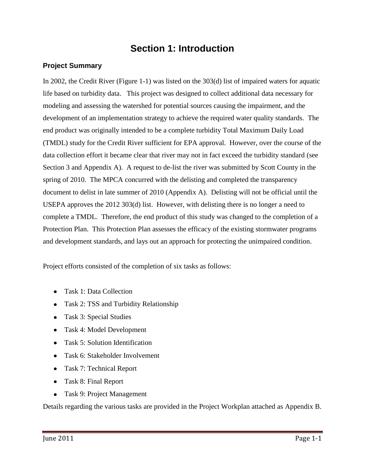# **Section 1: Introduction**

## **Project Summary**

In 2002, the Credit River (Figure 1-1) was listed on the 303(d) list of impaired waters for aquatic life based on turbidity data. This project was designed to collect additional data necessary for modeling and assessing the watershed for potential sources causing the impairment, and the development of an implementation strategy to achieve the required water quality standards. The end product was originally intended to be a complete turbidity Total Maximum Daily Load (TMDL) study for the Credit River sufficient for EPA approval. However, over the course of the data collection effort it became clear that river may not in fact exceed the turbidity standard (see Section 3 and Appendix A). A request to de-list the river was submitted by Scott County in the spring of 2010. The MPCA concurred with the delisting and completed the transparency document to delist in late summer of 2010 (Appendix A). Delisting will not be official until the USEPA approves the 2012 303(d) list. However, with delisting there is no longer a need to complete a TMDL. Therefore, the end product of this study was changed to the completion of a Protection Plan. This Protection Plan assesses the efficacy of the existing stormwater programs and development standards, and lays out an approach for protecting the unimpaired condition.

Project efforts consisted of the completion of six tasks as follows:

- Task 1: Data Collection
- Task 2: TSS and Turbidity Relationship
- Task 3: Special Studies
- Task 4: Model Development
- Task 5: Solution Identification
- Task 6: Stakeholder Involvement
- Task 7: Technical Report
- Task 8: Final Report
- Task 9: Project Management

Details regarding the various tasks are provided in the Project Workplan attached as Appendix B.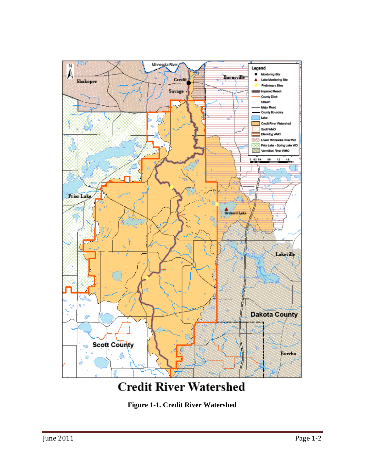

# **Credit River Watershed**

**Figure 1-1. Credit River Watershed**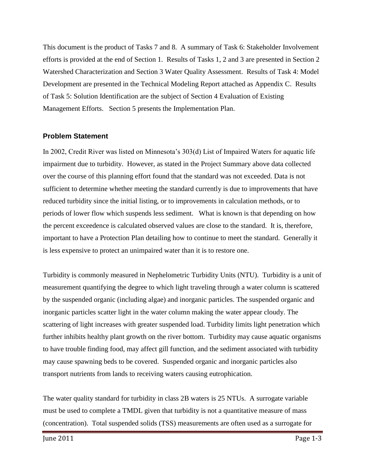This document is the product of Tasks 7 and 8. A summary of Task 6: Stakeholder Involvement efforts is provided at the end of Section 1. Results of Tasks 1, 2 and 3 are presented in Section 2 Watershed Characterization and Section 3 Water Quality Assessment. Results of Task 4: Model Development are presented in the Technical Modeling Report attached as Appendix C. Results of Task 5: Solution Identification are the subject of Section 4 Evaluation of Existing Management Efforts. Section 5 presents the Implementation Plan.

#### **Problem Statement**

In 2002, Credit River was listed on Minnesota's 303(d) List of Impaired Waters for aquatic life impairment due to turbidity. However, as stated in the Project Summary above data collected over the course of this planning effort found that the standard was not exceeded. Data is not sufficient to determine whether meeting the standard currently is due to improvements that have reduced turbidity since the initial listing, or to improvements in calculation methods, or to periods of lower flow which suspends less sediment. What is known is that depending on how the percent exceedence is calculated observed values are close to the standard. It is, therefore, important to have a Protection Plan detailing how to continue to meet the standard. Generally it is less expensive to protect an unimpaired water than it is to restore one.

Turbidity is commonly measured in Nephelometric Turbidity Units (NTU). Turbidity is a unit of measurement quantifying the degree to which light traveling through a water column is scattered by the suspended organic (including algae) and inorganic particles. The suspended organic and inorganic particles scatter light in the water column making the water appear cloudy. The scattering of light increases with greater suspended load. Turbidity limits light penetration which further inhibits healthy plant growth on the river bottom. Turbidity may cause aquatic organisms to have trouble finding food, may affect gill function, and the sediment associated with turbidity may cause spawning beds to be covered. Suspended organic and inorganic particles also transport nutrients from lands to receiving waters causing eutrophication.

The water quality standard for turbidity in class 2B waters is 25 NTUs. A surrogate variable must be used to complete a TMDL given that turbidity is not a quantitative measure of mass (concentration). Total suspended solids (TSS) measurements are often used as a surrogate for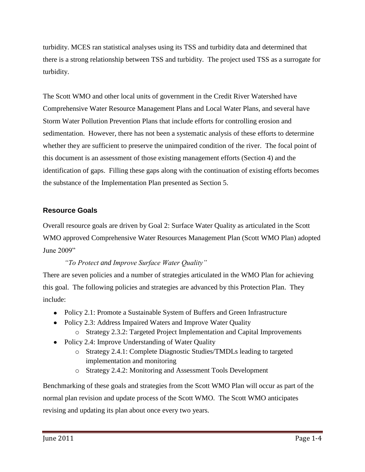turbidity. MCES ran statistical analyses using its TSS and turbidity data and determined that there is a strong relationship between TSS and turbidity. The project used TSS as a surrogate for turbidity.

The Scott WMO and other local units of government in the Credit River Watershed have Comprehensive Water Resource Management Plans and Local Water Plans, and several have Storm Water Pollution Prevention Plans that include efforts for controlling erosion and sedimentation. However, there has not been a systematic analysis of these efforts to determine whether they are sufficient to preserve the unimpaired condition of the river. The focal point of this document is an assessment of those existing management efforts (Section 4) and the identification of gaps. Filling these gaps along with the continuation of existing efforts becomes the substance of the Implementation Plan presented as Section 5.

### **Resource Goals**

Overall resource goals are driven by Goal 2: Surface Water Quality as articulated in the Scott WMO approved Comprehensive Water Resources Management Plan (Scott WMO Plan) adopted June 2009"

#### *"To Protect and Improve Surface Water Quality"*

There are seven policies and a number of strategies articulated in the WMO Plan for achieving this goal. The following policies and strategies are advanced by this Protection Plan. They include:

- Policy 2.1: Promote a Sustainable System of Buffers and Green Infrastructure
- Policy 2.3: Address Impaired Waters and Improve Water Quality
	- o Strategy 2.3.2: Targeted Project Implementation and Capital Improvements
- Policy 2.4: Improve Understanding of Water Quality
	- o Strategy 2.4.1: Complete Diagnostic Studies/TMDLs leading to targeted implementation and monitoring
	- o Strategy 2.4.2: Monitoring and Assessment Tools Development

Benchmarking of these goals and strategies from the Scott WMO Plan will occur as part of the normal plan revision and update process of the Scott WMO. The Scott WMO anticipates revising and updating its plan about once every two years.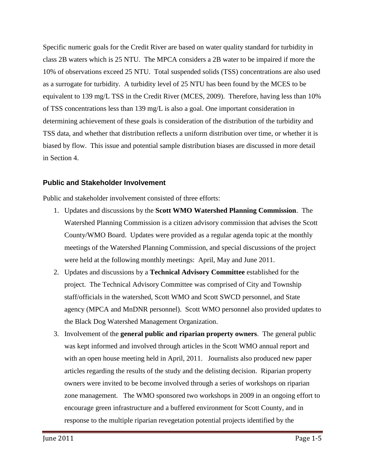Specific numeric goals for the Credit River are based on water quality standard for turbidity in class 2B waters which is 25 NTU. The MPCA considers a 2B water to be impaired if more the 10% of observations exceed 25 NTU. Total suspended solids (TSS) concentrations are also used as a surrogate for turbidity. A turbidity level of 25 NTU has been found by the MCES to be equivalent to 139 mg/L TSS in the Credit River (MCES, 2009). Therefore, having less than 10% of TSS concentrations less than 139 mg/L is also a goal. One important consideration in determining achievement of these goals is consideration of the distribution of the turbidity and TSS data, and whether that distribution reflects a uniform distribution over time, or whether it is biased by flow. This issue and potential sample distribution biases are discussed in more detail in Section 4.

#### **Public and Stakeholder Involvement**

Public and stakeholder involvement consisted of three efforts:

- 1. Updates and discussions by the **Scott WMO Watershed Planning Commission**. The Watershed Planning Commission is a citizen advisory commission that advises the Scott County/WMO Board. Updates were provided as a regular agenda topic at the monthly meetings of the Watershed Planning Commission, and special discussions of the project were held at the following monthly meetings: April, May and June 2011.
- 2. Updates and discussions by a **Technical Advisory Committee** established for the project. The Technical Advisory Committee was comprised of City and Township staff/officials in the watershed, Scott WMO and Scott SWCD personnel, and State agency (MPCA and MnDNR personnel). Scott WMO personnel also provided updates to the Black Dog Watershed Management Organization.
- 3. Involvement of the **general public and riparian property owners**. The general public was kept informed and involved through articles in the Scott WMO annual report and with an open house meeting held in April, 2011. Journalists also produced new paper articles regarding the results of the study and the delisting decision. Riparian property owners were invited to be become involved through a series of workshops on riparian zone management. The WMO sponsored two workshops in 2009 in an ongoing effort to encourage green infrastructure and a buffered environment for Scott County, and in response to the multiple riparian revegetation potential projects identified by the